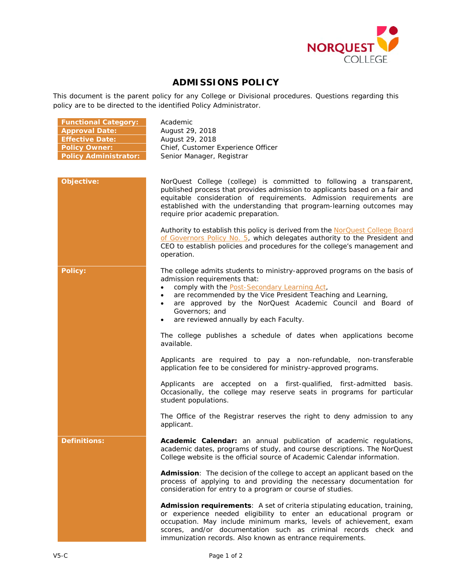

## **ADMISSIONS POLICY**

This document is the parent policy for any College or Divisional procedures. Questions regarding this policy are to be directed to the identified Policy Administrator.

| <b>Functional Category:</b><br><b>Approval Date:</b><br><b>Effective Date:</b><br><b>Policy Owner:</b><br><b>Policy Administrator:</b> | Academic<br>August 29, 2018<br>August 29, 2018<br>Chief, Customer Experience Officer<br>Senior Manager, Registrar                                                                                                                                                                                                                                                                                  |
|----------------------------------------------------------------------------------------------------------------------------------------|----------------------------------------------------------------------------------------------------------------------------------------------------------------------------------------------------------------------------------------------------------------------------------------------------------------------------------------------------------------------------------------------------|
| Objective:                                                                                                                             | NorQuest College (college) is committed to following a transparent,<br>published process that provides admission to applicants based on a fair and<br>equitable consideration of requirements. Admission requirements are<br>established with the understanding that program-learning outcomes may<br>require prior academic preparation.                                                          |
|                                                                                                                                        | Authority to establish this policy is derived from the NorQuest College Board<br>of Governors Policy No. 5, which delegates authority to the President and<br>CEO to establish policies and procedures for the college's management and<br>operation.                                                                                                                                              |
| <b>Policy:</b>                                                                                                                         | The college admits students to ministry-approved programs on the basis of<br>admission requirements that:<br>comply with the <b>Post-Secondary Learning Act</b> ,<br>$\bullet$<br>are recommended by the Vice President Teaching and Learning,<br>$\bullet$<br>are approved by the NorQuest Academic Council and Board of<br>$\bullet$<br>Governors; and<br>are reviewed annually by each Faculty. |
|                                                                                                                                        | The college publishes a schedule of dates when applications become<br>available.                                                                                                                                                                                                                                                                                                                   |
|                                                                                                                                        | Applicants are required to pay a non-refundable, non-transferable<br>application fee to be considered for ministry-approved programs.                                                                                                                                                                                                                                                              |
|                                                                                                                                        | Applicants are accepted on a first-qualified, first-admitted basis.<br>Occasionally, the college may reserve seats in programs for particular<br>student populations.                                                                                                                                                                                                                              |
|                                                                                                                                        | The Office of the Registrar reserves the right to deny admission to any<br>applicant.                                                                                                                                                                                                                                                                                                              |
| <b>Definitions:</b>                                                                                                                    | Academic Calendar: an annual publication of academic regulations,<br>academic dates, programs of study, and course descriptions. The NorQuest<br>College website is the official source of Academic Calendar information.                                                                                                                                                                          |
|                                                                                                                                        | Admission: The decision of the college to accept an applicant based on the<br>process of applying to and providing the necessary documentation for<br>consideration for entry to a program or course of studies.                                                                                                                                                                                   |
|                                                                                                                                        | Admission requirements: A set of criteria stipulating education, training,<br>or experience needed eligibility to enter an educational program or<br>occupation. May include minimum marks, levels of achievement, exam<br>scores, and/or documentation such as criminal records check and<br>immunization records. Also known as entrance requirements.                                           |